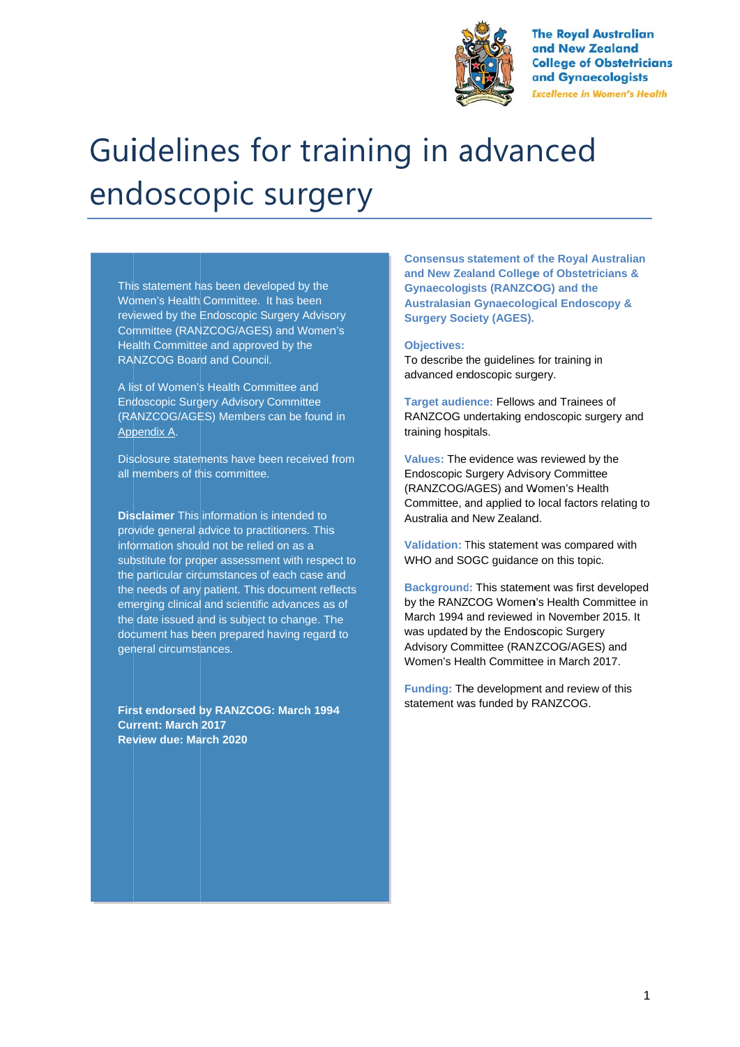

**The Royal Australian** and New Zealand **College of Obstetricians** and Gynaecologists **Excellence in Women's Health** 

# Guidelines for training in advanced endoscopic surgery

This statement has been developed by the Women's Health Committee. It has been reviewed by the Endoscopic Surgery Advisory Committee (RANZCOG/AGES) and Women's Health Committee and approved by the RANZCOG Board and Council.

A list of Women's Health Committee and **Endoscopic Surgery Advisory Committee** (RANZCOG/AGES) Members can be found in Appendix A.

Disclosure statements have been received from all members of this committee.

**Disclaimer** This information is intended to provide general advice to practitioners. This information should not be relied on as a substitute for proper assessment with respect to the particular circumstances of each case and the needs of any patient. This document reflects emerging clinical and scientific advances as of the date issued and is subject to change. The document has been prepared having regard to general circumstances.

First endorsed by RANZCOG: March 1994 **Current: March 2017 Review due: March 2020** 

**Consensus statement of the Royal Australian** and New Zealand College of Obstetricians & **Gynaecologists (RANZCOG) and the Australasian Gynaecological Endoscopy & Surgery Society (AGES).** 

**Objectives:** To describe the quidelines for training in advanced endoscopic surgery.

Target audience: Fellows and Trainees of RANZCOG undertaking endoscopic surgery and training hospitals.

Values: The evidence was reviewed by the **Endoscopic Surgery Advisory Committee** (RANZCOG/AGES) and Women's Health Committee, and applied to local factors relating to Australia and New Zealand.

Validation: This statement was compared with WHO and SOGC guidance on this topic.

Background: This statement was first developed by the RANZCOG Women's Health Committee in March 1994 and reviewed in November 2015. It was updated by the Endoscopic Surgery Advisory Committee (RANZCOG/AGES) and Women's Health Committee in March 2017.

Funding: The development and review of this statement was funded by RANZCOG.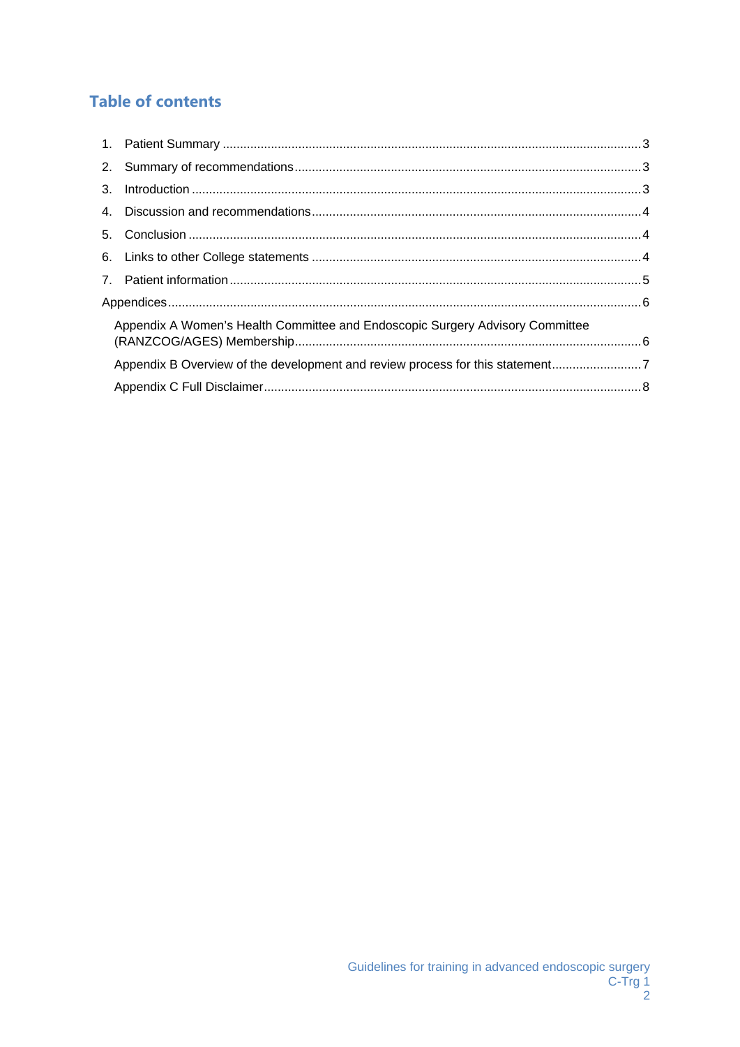## **Table of contents**

|                                                                               | Appendix A Women's Health Committee and Endoscopic Surgery Advisory Committee |  |  |  |
|-------------------------------------------------------------------------------|-------------------------------------------------------------------------------|--|--|--|
| Appendix B Overview of the development and review process for this statement7 |                                                                               |  |  |  |
|                                                                               |                                                                               |  |  |  |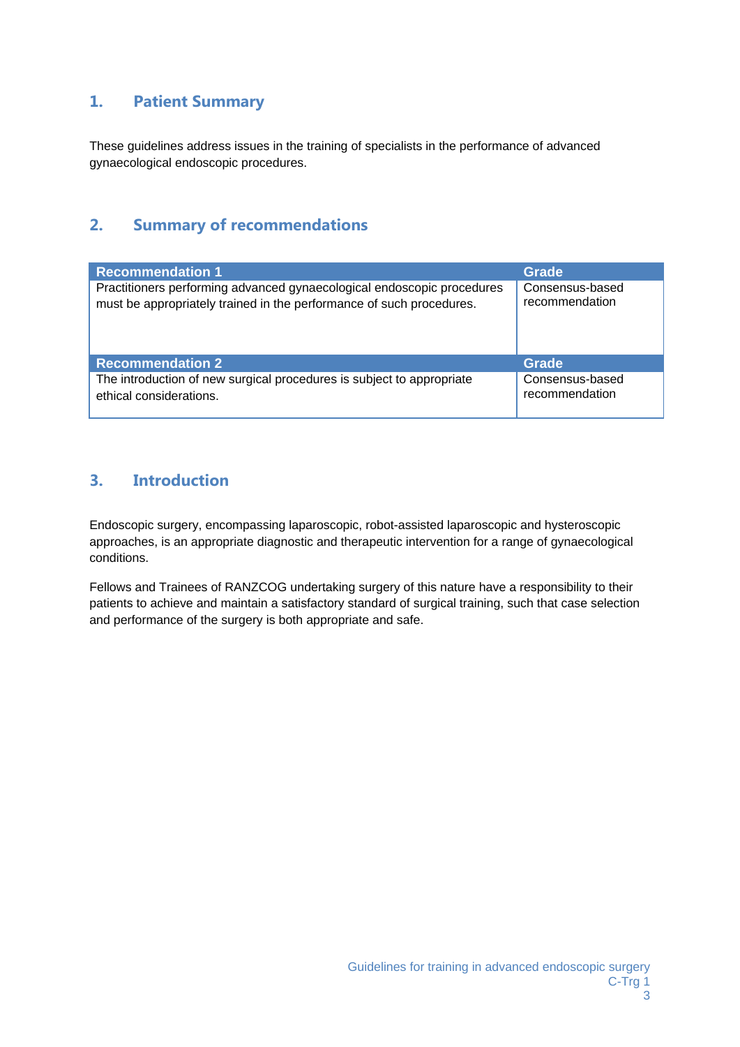### **1. Patient Summary**

These guidelines address issues in the training of specialists in the performance of advanced gynaecological endoscopic procedures.

#### **2. Summary of recommendations**

| <b>Recommendation 1</b>                                                | Grade           |
|------------------------------------------------------------------------|-----------------|
| Practitioners performing advanced gynaecological endoscopic procedures | Consensus-based |
| must be appropriately trained in the performance of such procedures.   | recommendation  |
| <b>Recommendation 2</b>                                                | Grade           |
| The introduction of new surgical procedures is subject to appropriate  | Consensus-based |
| ethical considerations.                                                | recommendation  |

### **3. Introduction**

Endoscopic surgery, encompassing laparoscopic, robot-assisted laparoscopic and hysteroscopic approaches, is an appropriate diagnostic and therapeutic intervention for a range of gynaecological conditions.

Fellows and Trainees of RANZCOG undertaking surgery of this nature have a responsibility to their patients to achieve and maintain a satisfactory standard of surgical training, such that case selection and performance of the surgery is both appropriate and safe.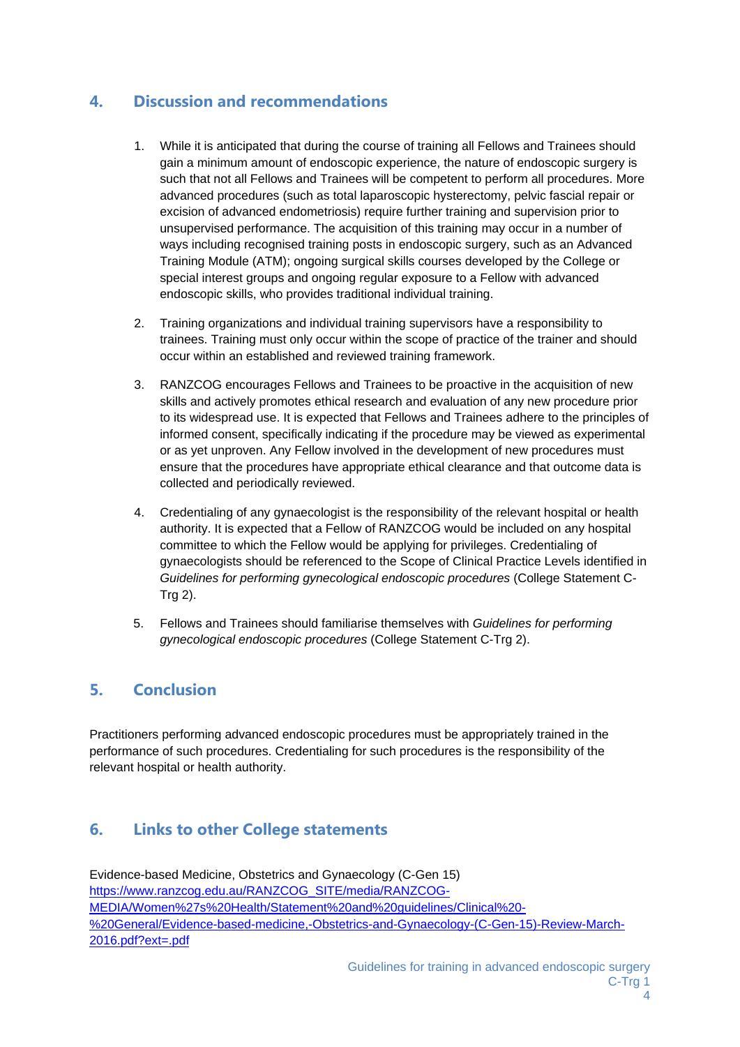## **4. Discussion and recommendations**

- 1. While it is anticipated that during the course of training all Fellows and Trainees should gain a minimum amount of endoscopic experience, the nature of endoscopic surgery is such that not all Fellows and Trainees will be competent to perform all procedures. More advanced procedures (such as total laparoscopic hysterectomy, pelvic fascial repair or excision of advanced endometriosis) require further training and supervision prior to unsupervised performance. The acquisition of this training may occur in a number of ways including recognised training posts in endoscopic surgery, such as an Advanced Training Module (ATM); ongoing surgical skills courses developed by the College or special interest groups and ongoing regular exposure to a Fellow with advanced endoscopic skills, who provides traditional individual training.
- 2. Training organizations and individual training supervisors have a responsibility to trainees. Training must only occur within the scope of practice of the trainer and should occur within an established and reviewed training framework.
- 3. RANZCOG encourages Fellows and Trainees to be proactive in the acquisition of new skills and actively promotes ethical research and evaluation of any new procedure prior to its widespread use. It is expected that Fellows and Trainees adhere to the principles of informed consent, specifically indicating if the procedure may be viewed as experimental or as yet unproven. Any Fellow involved in the development of new procedures must ensure that the procedures have appropriate ethical clearance and that outcome data is collected and periodically reviewed.
- 4. Credentialing of any gynaecologist is the responsibility of the relevant hospital or health authority. It is expected that a Fellow of RANZCOG would be included on any hospital committee to which the Fellow would be applying for privileges. Credentialing of gynaecologists should be referenced to the Scope of Clinical Practice Levels identified in *Guidelines for performing gynecological endoscopic procedures* (College Statement C-Trg 2).
- 5. Fellows and Trainees should familiarise themselves with *Guidelines for performing gynecological endoscopic procedures* (College Statement C-Trg 2).

## **5. Conclusion**

Practitioners performing advanced endoscopic procedures must be appropriately trained in the performance of such procedures. Credentialing for such procedures is the responsibility of the relevant hospital or health authority.

## **6. Links to other College statements**

Evidence-based Medicine, Obstetrics and Gynaecology (C-Gen 15) https://www.ranzcog.edu.au/RANZCOG\_SITE/media/RANZCOG-MEDIA/Women%27s%20Health/Statement%20and%20guidelines/Clinical%20- %20General/Evidence-based-medicine,-Obstetrics-and-Gynaecology-(C-Gen-15)-Review-March-2016.pdf?ext=.pdf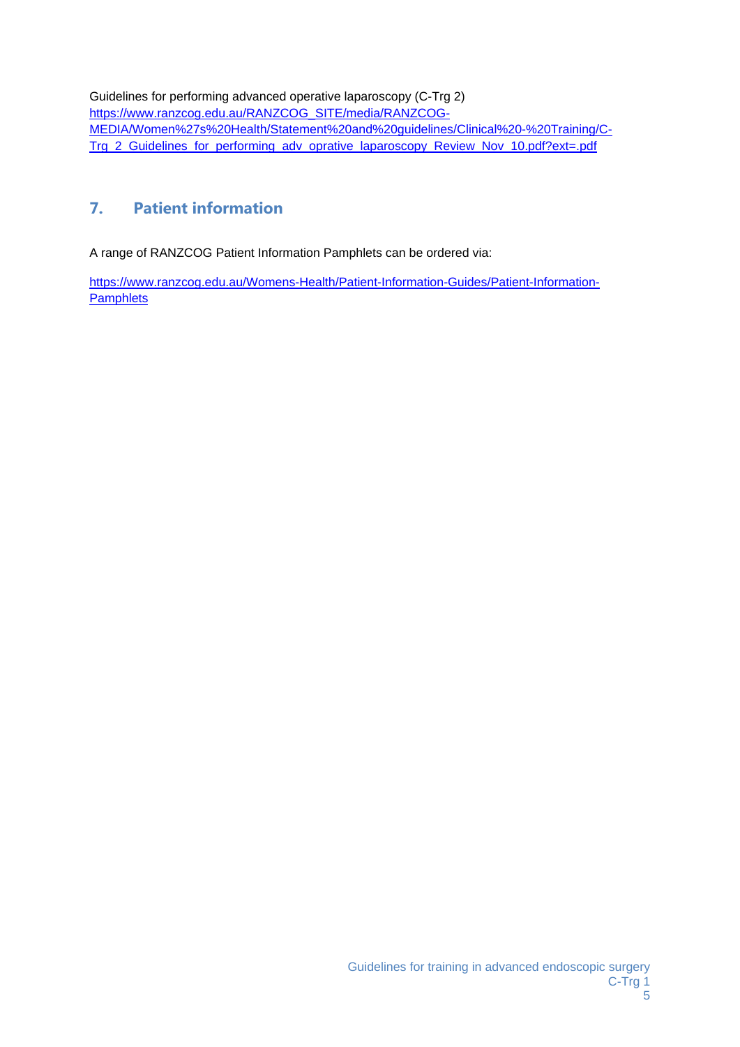Guidelines for performing advanced operative laparoscopy (C-Trg 2) https://www.ranzcog.edu.au/RANZCOG\_SITE/media/RANZCOG-MEDIA/Women%27s%20Health/Statement%20and%20guidelines/Clinical%20-%20Training/C-Trg\_2\_Guidelines\_for\_performing\_adv\_oprative\_laparoscopy\_Review\_Nov\_10.pdf?ext=.pdf

## **7. Patient information**

A range of RANZCOG Patient Information Pamphlets can be ordered via:

https://www.ranzcog.edu.au/Womens-Health/Patient-Information-Guides/Patient-Information-Pamphlets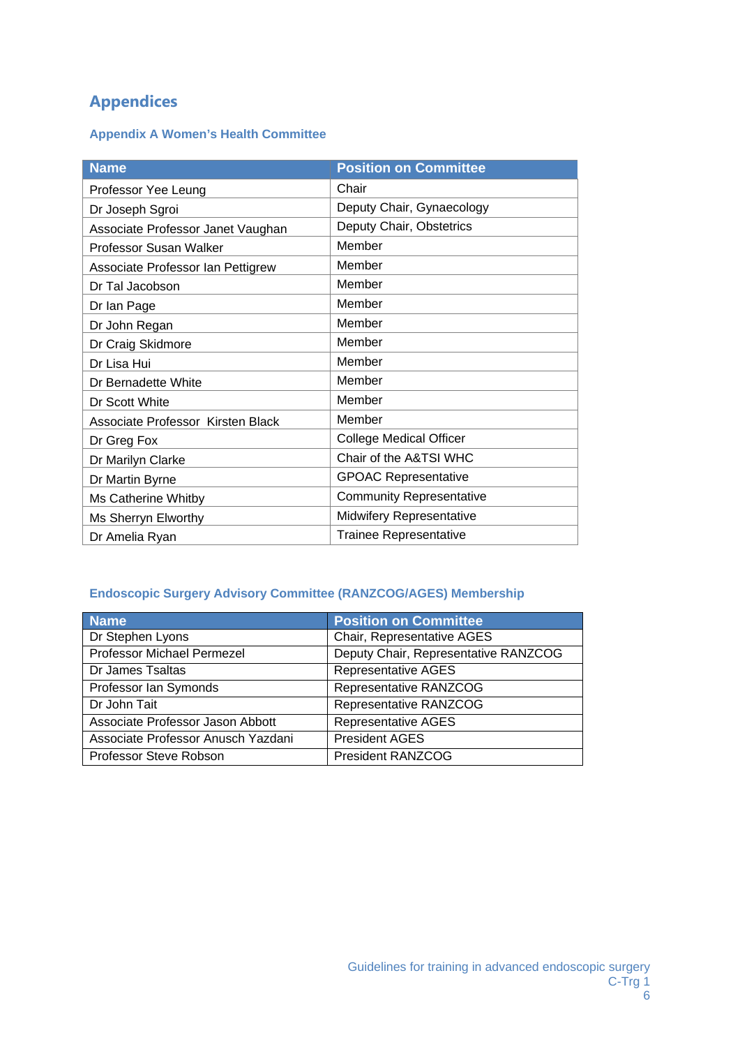# **Appendices**

**Appendix A Women's Health Committee** 

| <b>Name</b>                       | <b>Position on Committee</b>    |
|-----------------------------------|---------------------------------|
| Professor Yee Leung               | Chair                           |
| Dr Joseph Sgroi                   | Deputy Chair, Gynaecology       |
| Associate Professor Janet Vaughan | Deputy Chair, Obstetrics        |
| Professor Susan Walker            | Member                          |
| Associate Professor Ian Pettigrew | Member                          |
| Dr Tal Jacobson                   | Member                          |
| Dr Ian Page                       | Member                          |
| Dr John Regan                     | Member                          |
| Dr Craig Skidmore                 | Member                          |
| Dr Lisa Hui                       | Member                          |
| Dr Bernadette White               | Member                          |
| Dr Scott White                    | Member                          |
| Associate Professor Kirsten Black | Member                          |
| Dr Greg Fox                       | <b>College Medical Officer</b>  |
| Dr Marilyn Clarke                 | Chair of the A&TSI WHC          |
| Dr Martin Byrne                   | <b>GPOAC Representative</b>     |
| Ms Catherine Whitby               | <b>Community Representative</b> |
| Ms Sherryn Elworthy               | Midwifery Representative        |
| Dr Amelia Ryan                    | <b>Trainee Representative</b>   |

#### **Endoscopic Surgery Advisory Committee (RANZCOG/AGES) Membership**

| <b>Name</b>                        | <b>Position on Committee</b>         |
|------------------------------------|--------------------------------------|
| Dr Stephen Lyons                   | Chair, Representative AGES           |
| Professor Michael Permezel         | Deputy Chair, Representative RANZCOG |
| Dr James Tsaltas                   | <b>Representative AGES</b>           |
| Professor Ian Symonds              | Representative RANZCOG               |
| Dr John Tait                       | Representative RANZCOG               |
| Associate Professor Jason Abbott   | <b>Representative AGES</b>           |
| Associate Professor Anusch Yazdani | <b>President AGES</b>                |
| Professor Steve Robson             | <b>President RANZCOG</b>             |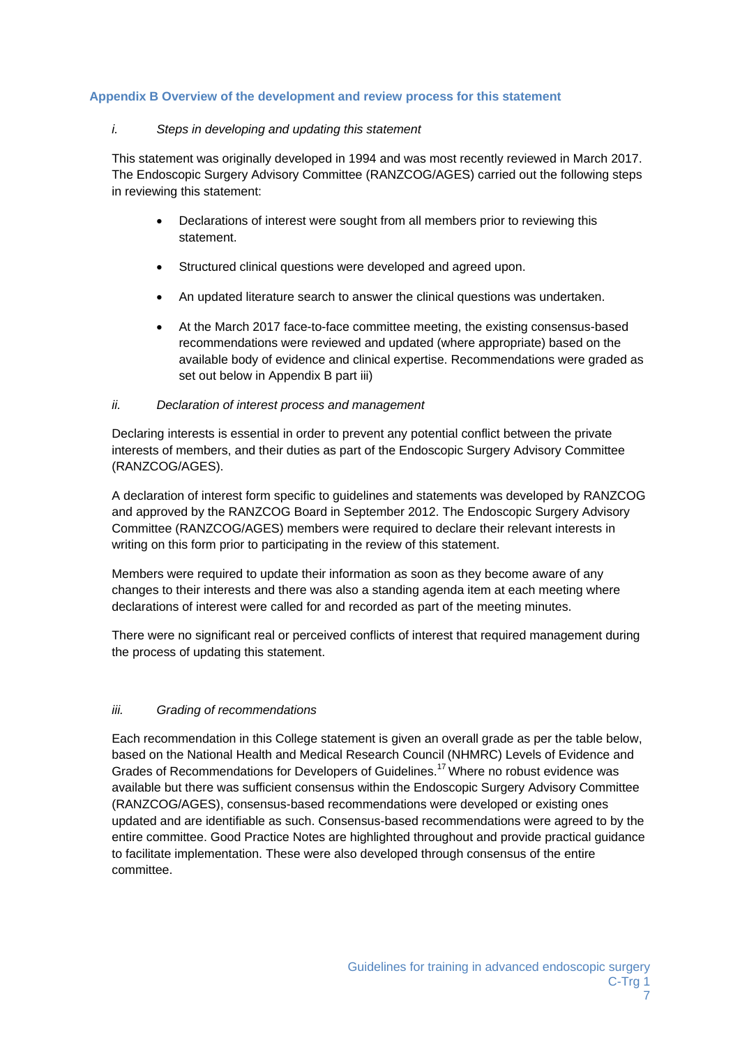#### **Appendix B Overview of the development and review process for this statement**

#### *i. Steps in developing and updating this statement*

This statement was originally developed in 1994 and was most recently reviewed in March 2017. The Endoscopic Surgery Advisory Committee (RANZCOG/AGES) carried out the following steps in reviewing this statement:

- Declarations of interest were sought from all members prior to reviewing this statement.
- Structured clinical questions were developed and agreed upon.
- An updated literature search to answer the clinical questions was undertaken.
- At the March 2017 face-to-face committee meeting, the existing consensus-based recommendations were reviewed and updated (where appropriate) based on the available body of evidence and clinical expertise. Recommendations were graded as set out below in Appendix B part iii)

#### *ii. Declaration of interest process and management*

Declaring interests is essential in order to prevent any potential conflict between the private interests of members, and their duties as part of the Endoscopic Surgery Advisory Committee (RANZCOG/AGES).

A declaration of interest form specific to guidelines and statements was developed by RANZCOG and approved by the RANZCOG Board in September 2012. The Endoscopic Surgery Advisory Committee (RANZCOG/AGES) members were required to declare their relevant interests in writing on this form prior to participating in the review of this statement.

Members were required to update their information as soon as they become aware of any changes to their interests and there was also a standing agenda item at each meeting where declarations of interest were called for and recorded as part of the meeting minutes.

There were no significant real or perceived conflicts of interest that required management during the process of updating this statement.

#### *iii. Grading of recommendations*

Each recommendation in this College statement is given an overall grade as per the table below, based on the National Health and Medical Research Council (NHMRC) Levels of Evidence and Grades of Recommendations for Developers of Guidelines.<sup>17</sup> Where no robust evidence was available but there was sufficient consensus within the Endoscopic Surgery Advisory Committee (RANZCOG/AGES), consensus-based recommendations were developed or existing ones updated and are identifiable as such. Consensus-based recommendations were agreed to by the entire committee. Good Practice Notes are highlighted throughout and provide practical guidance to facilitate implementation. These were also developed through consensus of the entire committee.